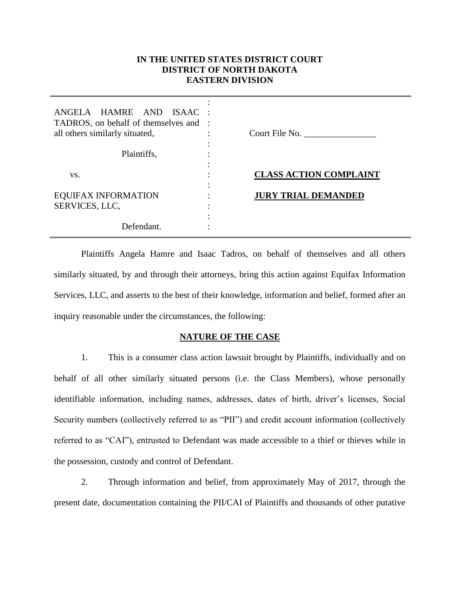# **IN THE UNITED STATES DISTRICT COURT DISTRICT OF NORTH DAKOTA EASTERN DIVISION**

| ANGELA HAMRE AND ISAAC :<br>TADROS, on behalf of themselves and :<br>all others similarly situated, | Court File No.                |
|-----------------------------------------------------------------------------------------------------|-------------------------------|
| Plaintiffs,                                                                                         |                               |
| VS.                                                                                                 | <b>CLASS ACTION COMPLAINT</b> |
| <b>EQUIFAX INFORMATION</b><br>SERVICES, LLC,                                                        | <b>JURY TRIAL DEMANDED</b>    |
| Defendant.                                                                                          |                               |

Plaintiffs Angela Hamre and Isaac Tadros, on behalf of themselves and all others similarly situated, by and through their attorneys, bring this action against Equifax Information Services, LLC, and asserts to the best of their knowledge, information and belief, formed after an inquiry reasonable under the circumstances, the following:

# **NATURE OF THE CASE**

1. This is a consumer class action lawsuit brought by Plaintiffs, individually and on behalf of all other similarly situated persons (i.e. the Class Members), whose personally identifiable information, including names, addresses, dates of birth, driver's licenses, Social Security numbers (collectively referred to as "PII") and credit account information (collectively referred to as "CAI"), entrusted to Defendant was made accessible to a thief or thieves while in the possession, custody and control of Defendant.

2. Through information and belief, from approximately May of 2017, through the present date, documentation containing the PII/CAI of Plaintiffs and thousands of other putative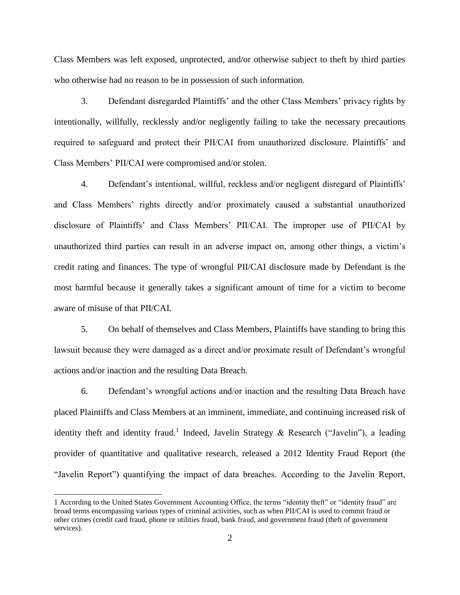Class Members was left exposed, unprotected, and/or otherwise subject to theft by third parties who otherwise had no reason to be in possession of such information.

3. Defendant disregarded Plaintiffs' and the other Class Members' privacy rights by intentionally, willfully, recklessly and/or negligently failing to take the necessary precautions required to safeguard and protect their PII/CAI from unauthorized disclosure. Plaintiffs' and Class Members' PII/CAI were compromised and/or stolen.

4. Defendant's intentional, willful, reckless and/or negligent disregard of Plaintiffs' and Class Members' rights directly and/or proximately caused a substantial unauthorized disclosure of Plaintiffs' and Class Members' PII/CAI. The improper use of PII/CAI by unauthorized third parties can result in an adverse impact on, among other things, a victim's credit rating and finances. The type of wrongful PII/CAI disclosure made by Defendant is the most harmful because it generally takes a significant amount of time for a victim to become aware of misuse of that PII/CAI.

5. On behalf of themselves and Class Members, Plaintiffs have standing to bring this lawsuit because they were damaged as a direct and/or proximate result of Defendant's wrongful actions and/or inaction and the resulting Data Breach.

6. Defendant's wrongful actions and/or inaction and the resulting Data Breach have placed Plaintiffs and Class Members at an imminent, immediate, and continuing increased risk of identity theft and identity fraud.<sup>1</sup> Indeed, Javelin Strategy & Research ("Javelin"), a leading provider of quantitative and qualitative research, released a 2012 Identity Fraud Report (the "Javelin Report") quantifying the impact of data breaches. According to the Javelin Report,

 $\overline{a}$ 

<sup>1</sup> According to the United States Government Accounting Office, the terms "identity theft" or "identity fraud" are broad terms encompassing various types of criminal activities, such as when PII/CAI is used to commit fraud or other crimes (credit card fraud, phone or utilities fraud, bank fraud, and government fraud (theft of government services).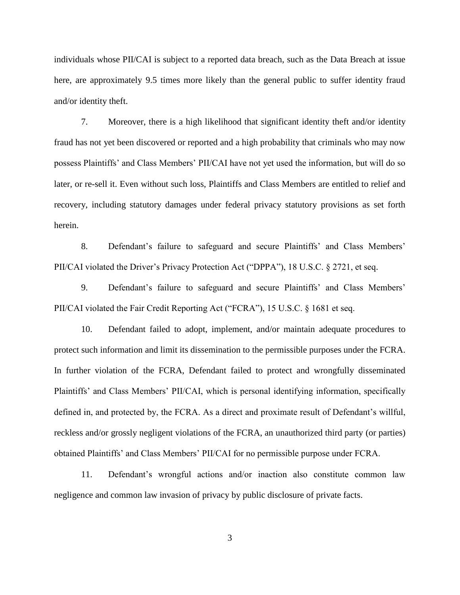individuals whose PII/CAI is subject to a reported data breach, such as the Data Breach at issue here, are approximately 9.5 times more likely than the general public to suffer identity fraud and/or identity theft.

7. Moreover, there is a high likelihood that significant identity theft and/or identity fraud has not yet been discovered or reported and a high probability that criminals who may now possess Plaintiffs' and Class Members' PII/CAI have not yet used the information, but will do so later, or re-sell it. Even without such loss, Plaintiffs and Class Members are entitled to relief and recovery, including statutory damages under federal privacy statutory provisions as set forth herein.

8. Defendant's failure to safeguard and secure Plaintiffs' and Class Members' PII/CAI violated the Driver's Privacy Protection Act ("DPPA"), 18 U.S.C. § 2721, et seq.

9. Defendant's failure to safeguard and secure Plaintiffs' and Class Members' PII/CAI violated the Fair Credit Reporting Act ("FCRA"), 15 U.S.C. § 1681 et seq.

10. Defendant failed to adopt, implement, and/or maintain adequate procedures to protect such information and limit its dissemination to the permissible purposes under the FCRA. In further violation of the FCRA, Defendant failed to protect and wrongfully disseminated Plaintiffs' and Class Members' PII/CAI, which is personal identifying information, specifically defined in, and protected by, the FCRA. As a direct and proximate result of Defendant's willful, reckless and/or grossly negligent violations of the FCRA, an unauthorized third party (or parties) obtained Plaintiffs' and Class Members' PII/CAI for no permissible purpose under FCRA.

11. Defendant's wrongful actions and/or inaction also constitute common law negligence and common law invasion of privacy by public disclosure of private facts.

3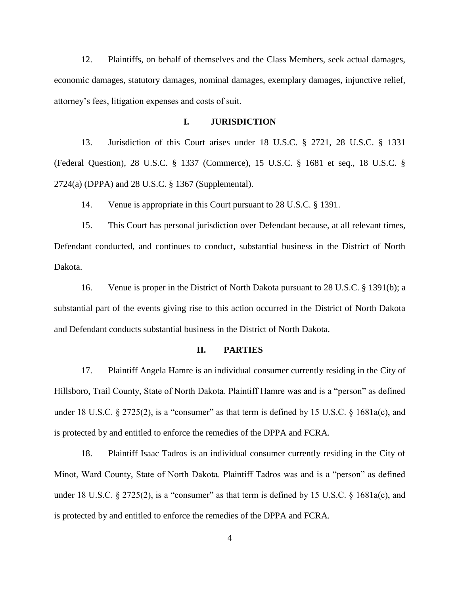12. Plaintiffs, on behalf of themselves and the Class Members, seek actual damages, economic damages, statutory damages, nominal damages, exemplary damages, injunctive relief, attorney's fees, litigation expenses and costs of suit.

# **I. JURISDICTION**

13. Jurisdiction of this Court arises under 18 U.S.C. § 2721, 28 U.S.C. § 1331 (Federal Question), 28 U.S.C. § 1337 (Commerce), 15 U.S.C. § 1681 et seq., 18 U.S.C. § 2724(a) (DPPA) and 28 U.S.C. § 1367 (Supplemental).

14. Venue is appropriate in this Court pursuant to 28 U.S.C. § 1391.

15. This Court has personal jurisdiction over Defendant because, at all relevant times, Defendant conducted, and continues to conduct, substantial business in the District of North Dakota.

16. Venue is proper in the District of North Dakota pursuant to 28 U.S.C. § 1391(b); a substantial part of the events giving rise to this action occurred in the District of North Dakota and Defendant conducts substantial business in the District of North Dakota.

### **II. PARTIES**

17. Plaintiff Angela Hamre is an individual consumer currently residing in the City of Hillsboro, Trail County, State of North Dakota. Plaintiff Hamre was and is a "person" as defined under 18 U.S.C. § 2725(2), is a "consumer" as that term is defined by 15 U.S.C. § 1681a(c), and is protected by and entitled to enforce the remedies of the DPPA and FCRA.

18. Plaintiff Isaac Tadros is an individual consumer currently residing in the City of Minot, Ward County, State of North Dakota. Plaintiff Tadros was and is a "person" as defined under 18 U.S.C. § 2725(2), is a "consumer" as that term is defined by 15 U.S.C. § 1681a(c), and is protected by and entitled to enforce the remedies of the DPPA and FCRA.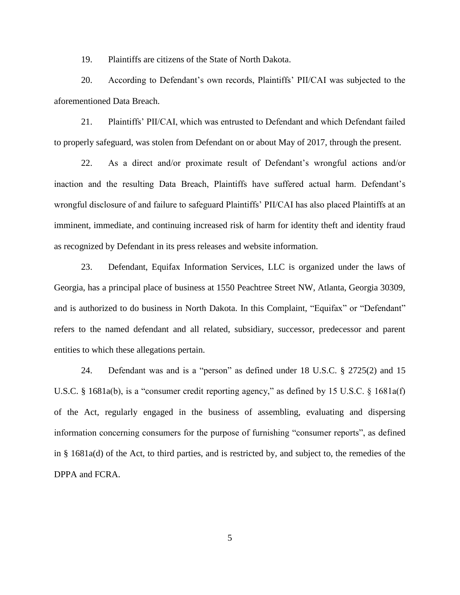19. Plaintiffs are citizens of the State of North Dakota.

20. According to Defendant's own records, Plaintiffs' PII/CAI was subjected to the aforementioned Data Breach.

21. Plaintiffs' PII/CAI, which was entrusted to Defendant and which Defendant failed to properly safeguard, was stolen from Defendant on or about May of 2017, through the present.

22. As a direct and/or proximate result of Defendant's wrongful actions and/or inaction and the resulting Data Breach, Plaintiffs have suffered actual harm. Defendant's wrongful disclosure of and failure to safeguard Plaintiffs' PII/CAI has also placed Plaintiffs at an imminent, immediate, and continuing increased risk of harm for identity theft and identity fraud as recognized by Defendant in its press releases and website information.

23. Defendant, Equifax Information Services, LLC is organized under the laws of Georgia, has a principal place of business at 1550 Peachtree Street NW, Atlanta, Georgia 30309, and is authorized to do business in North Dakota. In this Complaint, "Equifax" or "Defendant" refers to the named defendant and all related, subsidiary, successor, predecessor and parent entities to which these allegations pertain.

24. Defendant was and is a "person" as defined under 18 U.S.C. § 2725(2) and 15 U.S.C. § 1681a(b), is a "consumer credit reporting agency," as defined by 15 U.S.C. § 1681a(f) of the Act, regularly engaged in the business of assembling, evaluating and dispersing information concerning consumers for the purpose of furnishing "consumer reports", as defined in § 1681a(d) of the Act, to third parties, and is restricted by, and subject to, the remedies of the DPPA and FCRA.

5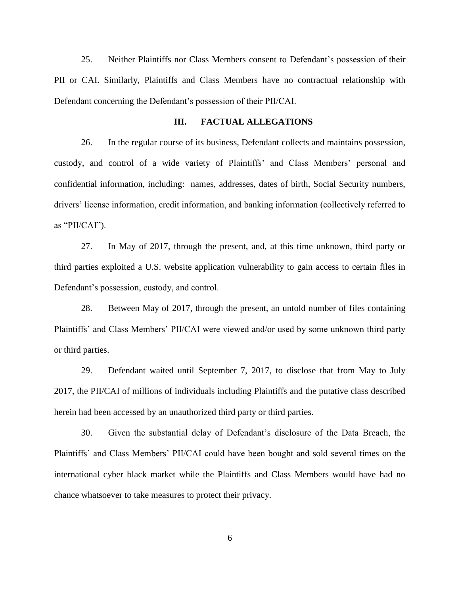25. Neither Plaintiffs nor Class Members consent to Defendant's possession of their PII or CAI. Similarly, Plaintiffs and Class Members have no contractual relationship with Defendant concerning the Defendant's possession of their PII/CAI.

## **III. FACTUAL ALLEGATIONS**

26. In the regular course of its business, Defendant collects and maintains possession, custody, and control of a wide variety of Plaintiffs' and Class Members' personal and confidential information, including: names, addresses, dates of birth, Social Security numbers, drivers' license information, credit information, and banking information (collectively referred to as "PII/CAI").

27. In May of 2017, through the present, and, at this time unknown, third party or third parties exploited a U.S. website application vulnerability to gain access to certain files in Defendant's possession, custody, and control.

28. Between May of 2017, through the present, an untold number of files containing Plaintiffs' and Class Members' PII/CAI were viewed and/or used by some unknown third party or third parties.

29. Defendant waited until September 7, 2017, to disclose that from May to July 2017, the PII/CAI of millions of individuals including Plaintiffs and the putative class described herein had been accessed by an unauthorized third party or third parties.

30. Given the substantial delay of Defendant's disclosure of the Data Breach, the Plaintiffs' and Class Members' PII/CAI could have been bought and sold several times on the international cyber black market while the Plaintiffs and Class Members would have had no chance whatsoever to take measures to protect their privacy.

6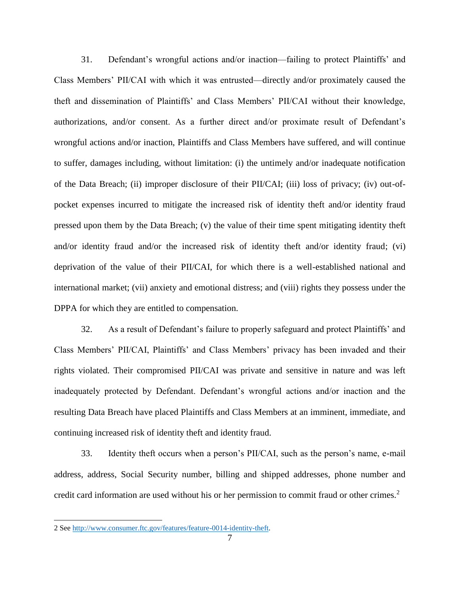31. Defendant's wrongful actions and/or inaction—failing to protect Plaintiffs' and Class Members' PII/CAI with which it was entrusted—directly and/or proximately caused the theft and dissemination of Plaintiffs' and Class Members' PII/CAI without their knowledge, authorizations, and/or consent. As a further direct and/or proximate result of Defendant's wrongful actions and/or inaction, Plaintiffs and Class Members have suffered, and will continue to suffer, damages including, without limitation: (i) the untimely and/or inadequate notification of the Data Breach; (ii) improper disclosure of their PII/CAI; (iii) loss of privacy; (iv) out-ofpocket expenses incurred to mitigate the increased risk of identity theft and/or identity fraud pressed upon them by the Data Breach; (v) the value of their time spent mitigating identity theft and/or identity fraud and/or the increased risk of identity theft and/or identity fraud; (vi) deprivation of the value of their PII/CAI, for which there is a well-established national and international market; (vii) anxiety and emotional distress; and (viii) rights they possess under the DPPA for which they are entitled to compensation.

32. As a result of Defendant's failure to properly safeguard and protect Plaintiffs' and Class Members' PII/CAI, Plaintiffs' and Class Members' privacy has been invaded and their rights violated. Their compromised PII/CAI was private and sensitive in nature and was left inadequately protected by Defendant. Defendant's wrongful actions and/or inaction and the resulting Data Breach have placed Plaintiffs and Class Members at an imminent, immediate, and continuing increased risk of identity theft and identity fraud.

33. Identity theft occurs when a person's PII/CAI, such as the person's name, e-mail address, address, Social Security number, billing and shipped addresses, phone number and credit card information are used without his or her permission to commit fraud or other crimes.<sup>2</sup>

 $\overline{a}$ 

<sup>2</sup> See [http://www.consumer.ftc.gov/features/feature-0014-identity-theft.](http://www.consumer.ftc.gov/features/feature-0014-identity-theft)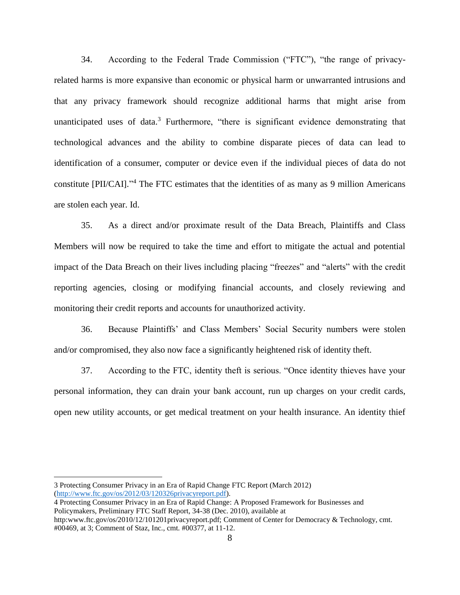34. According to the Federal Trade Commission ("FTC"), "the range of privacyrelated harms is more expansive than economic or physical harm or unwarranted intrusions and that any privacy framework should recognize additional harms that might arise from unanticipated uses of data.<sup>3</sup> Furthermore, "there is significant evidence demonstrating that technological advances and the ability to combine disparate pieces of data can lead to identification of a consumer, computer or device even if the individual pieces of data do not constitute [PII/CAI]." <sup>4</sup> The FTC estimates that the identities of as many as 9 million Americans are stolen each year. Id.

35. As a direct and/or proximate result of the Data Breach, Plaintiffs and Class Members will now be required to take the time and effort to mitigate the actual and potential impact of the Data Breach on their lives including placing "freezes" and "alerts" with the credit reporting agencies, closing or modifying financial accounts, and closely reviewing and monitoring their credit reports and accounts for unauthorized activity.

36. Because Plaintiffs' and Class Members' Social Security numbers were stolen and/or compromised, they also now face a significantly heightened risk of identity theft.

37. According to the FTC, identity theft is serious. "Once identity thieves have your personal information, they can drain your bank account, run up charges on your credit cards, open new utility accounts, or get medical treatment on your health insurance. An identity thief

3 Protecting Consumer Privacy in an Era of Rapid Change FTC Report (March 2012) [\(http://www.ftc.gov/os/2012/03/120326privacyreport.pdf\)](http://www.ftc.gov/os/2012/03/120326privacyreport.pdf).

l

4 Protecting Consumer Privacy in an Era of Rapid Change: A Proposed Framework for Businesses and Policymakers, Preliminary FTC Staff Report, 34-38 (Dec. 2010), available at http:www.ftc.gov/os/2010/12/101201privacyreport.pdf; Comment of Center for Democracy & Technology, cmt.

<sup>#00469,</sup> at 3; Comment of Staz, Inc., cmt. #00377, at 11-12.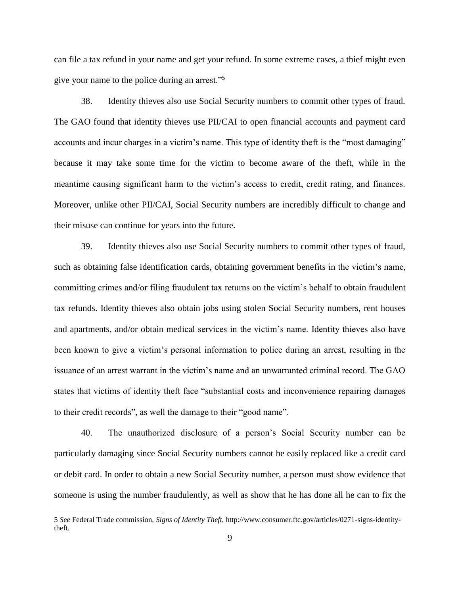can file a tax refund in your name and get your refund. In some extreme cases, a thief might even give your name to the police during an arrest."<sup>5</sup>

38. Identity thieves also use Social Security numbers to commit other types of fraud. The GAO found that identity thieves use PII/CAI to open financial accounts and payment card accounts and incur charges in a victim's name. This type of identity theft is the "most damaging" because it may take some time for the victim to become aware of the theft, while in the meantime causing significant harm to the victim's access to credit, credit rating, and finances. Moreover, unlike other PII/CAI, Social Security numbers are incredibly difficult to change and their misuse can continue for years into the future.

39. Identity thieves also use Social Security numbers to commit other types of fraud, such as obtaining false identification cards, obtaining government benefits in the victim's name, committing crimes and/or filing fraudulent tax returns on the victim's behalf to obtain fraudulent tax refunds. Identity thieves also obtain jobs using stolen Social Security numbers, rent houses and apartments, and/or obtain medical services in the victim's name. Identity thieves also have been known to give a victim's personal information to police during an arrest, resulting in the issuance of an arrest warrant in the victim's name and an unwarranted criminal record. The GAO states that victims of identity theft face "substantial costs and inconvenience repairing damages to their credit records", as well the damage to their "good name".

40. The unauthorized disclosure of a person's Social Security number can be particularly damaging since Social Security numbers cannot be easily replaced like a credit card or debit card. In order to obtain a new Social Security number, a person must show evidence that someone is using the number fraudulently, as well as show that he has done all he can to fix the

l

<sup>5</sup> *See* Federal Trade commission, *Signs of Identity Theft,* http://www.consumer.ftc.gov/articles/0271-signs-identitytheft.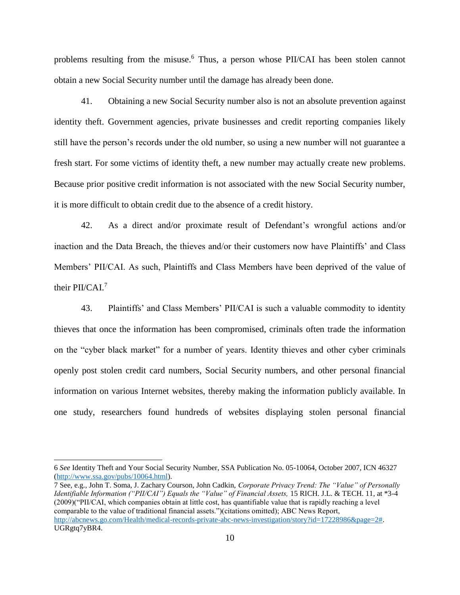problems resulting from the misuse.<sup>6</sup> Thus, a person whose PII/CAI has been stolen cannot obtain a new Social Security number until the damage has already been done.

41. Obtaining a new Social Security number also is not an absolute prevention against identity theft. Government agencies, private businesses and credit reporting companies likely still have the person's records under the old number, so using a new number will not guarantee a fresh start. For some victims of identity theft, a new number may actually create new problems. Because prior positive credit information is not associated with the new Social Security number, it is more difficult to obtain credit due to the absence of a credit history.

42. As a direct and/or proximate result of Defendant's wrongful actions and/or inaction and the Data Breach, the thieves and/or their customers now have Plaintiffs' and Class Members' PII/CAI. As such, Plaintiffs and Class Members have been deprived of the value of their PII/CAI.<sup>7</sup>

43. Plaintiffs' and Class Members' PII/CAI is such a valuable commodity to identity thieves that once the information has been compromised, criminals often trade the information on the "cyber black market" for a number of years. Identity thieves and other cyber criminals openly post stolen credit card numbers, Social Security numbers, and other personal financial information on various Internet websites, thereby making the information publicly available. In one study, researchers found hundreds of websites displaying stolen personal financial

l

7 See, e.g., John T. Soma, J. Zachary Courson, John Cadkin, *Corporate Privacy Trend: The "Value" of Personally Identifiable Information ("PII/CAI") Equals the "Value" of Financial Assets,* 15 RICH. J.L. & TECH. 11, at \*3-4 (2009)("PII/CAI, which companies obtain at little cost, has quantifiable value that is rapidly reaching a level comparable to the value of traditional financial assets.")(citations omitted); ABC News Report, [http://abcnews.go.com/Health/medical-records-private-abc-news-investigation/story?id=17228986&page=2#.](http://abcnews.go.com/Health/medical-records-private-abc-news-investigation/story?id=17228986&page=2) UGRgtq7yBR4.

<sup>6</sup> *See* Identity Theft and Your Social Security Number, SSA Publication No. 05-10064, October 2007, ICN 46327 [\(http://www.ssa.gov/pubs/10064.html\)](http://www.ssa.gov/pubs/10064.html).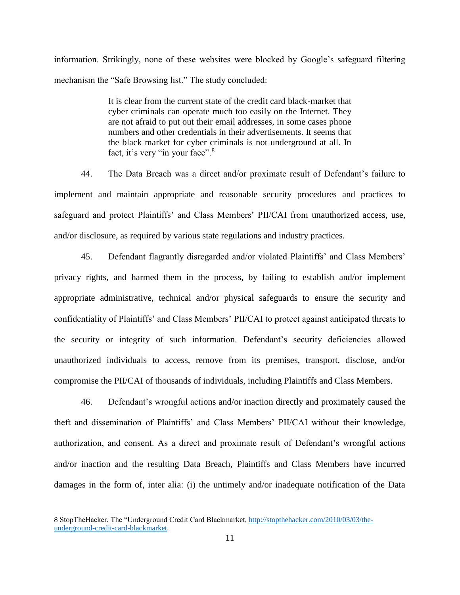information. Strikingly, none of these websites were blocked by Google's safeguard filtering mechanism the "Safe Browsing list." The study concluded:

> It is clear from the current state of the credit card black-market that cyber criminals can operate much too easily on the Internet. They are not afraid to put out their email addresses, in some cases phone numbers and other credentials in their advertisements. It seems that the black market for cyber criminals is not underground at all. In fact, it's very "in your face".<sup>8</sup>

44. The Data Breach was a direct and/or proximate result of Defendant's failure to implement and maintain appropriate and reasonable security procedures and practices to safeguard and protect Plaintiffs' and Class Members' PII/CAI from unauthorized access, use, and/or disclosure, as required by various state regulations and industry practices.

45. Defendant flagrantly disregarded and/or violated Plaintiffs' and Class Members' privacy rights, and harmed them in the process, by failing to establish and/or implement appropriate administrative, technical and/or physical safeguards to ensure the security and confidentiality of Plaintiffs' and Class Members' PII/CAI to protect against anticipated threats to the security or integrity of such information. Defendant's security deficiencies allowed unauthorized individuals to access, remove from its premises, transport, disclose, and/or compromise the PII/CAI of thousands of individuals, including Plaintiffs and Class Members.

46. Defendant's wrongful actions and/or inaction directly and proximately caused the theft and dissemination of Plaintiffs' and Class Members' PII/CAI without their knowledge, authorization, and consent. As a direct and proximate result of Defendant's wrongful actions and/or inaction and the resulting Data Breach, Plaintiffs and Class Members have incurred damages in the form of, inter alia: (i) the untimely and/or inadequate notification of the Data

l

<sup>8</sup> StopTheHacker, The "Underground Credit Card Blackmarket, [http://stopthehacker.com/2010/03/03/the](http://stopthehacker.com/2010/03/03/the-underground-credit-card-blackmarket)[underground-credit-card-blackmarket.](http://stopthehacker.com/2010/03/03/the-underground-credit-card-blackmarket)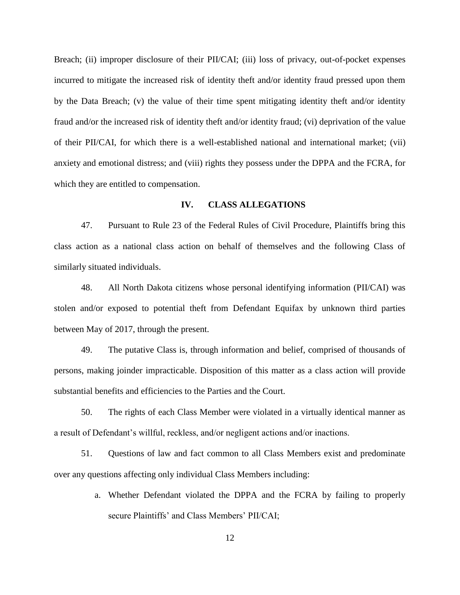Breach; (ii) improper disclosure of their PII/CAI; (iii) loss of privacy, out-of-pocket expenses incurred to mitigate the increased risk of identity theft and/or identity fraud pressed upon them by the Data Breach; (v) the value of their time spent mitigating identity theft and/or identity fraud and/or the increased risk of identity theft and/or identity fraud; (vi) deprivation of the value of their PII/CAI, for which there is a well-established national and international market; (vii) anxiety and emotional distress; and (viii) rights they possess under the DPPA and the FCRA, for which they are entitled to compensation.

## **IV. CLASS ALLEGATIONS**

47. Pursuant to Rule 23 of the Federal Rules of Civil Procedure, Plaintiffs bring this class action as a national class action on behalf of themselves and the following Class of similarly situated individuals.

48. All North Dakota citizens whose personal identifying information (PII/CAI) was stolen and/or exposed to potential theft from Defendant Equifax by unknown third parties between May of 2017, through the present.

49. The putative Class is, through information and belief, comprised of thousands of persons, making joinder impracticable. Disposition of this matter as a class action will provide substantial benefits and efficiencies to the Parties and the Court.

50. The rights of each Class Member were violated in a virtually identical manner as a result of Defendant's willful, reckless, and/or negligent actions and/or inactions.

51. Questions of law and fact common to all Class Members exist and predominate over any questions affecting only individual Class Members including:

> a. Whether Defendant violated the DPPA and the FCRA by failing to properly secure Plaintiffs' and Class Members' PII/CAI;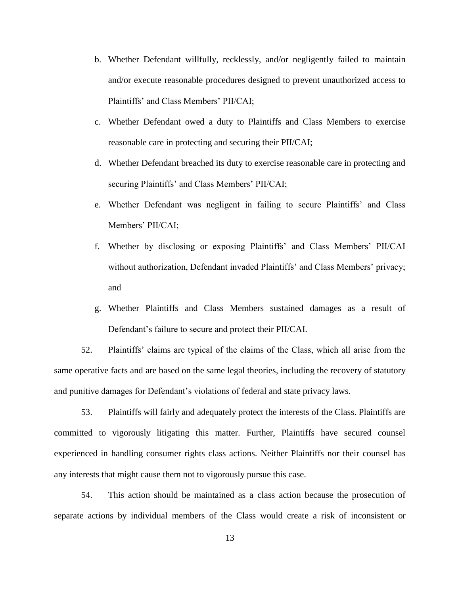- b. Whether Defendant willfully, recklessly, and/or negligently failed to maintain and/or execute reasonable procedures designed to prevent unauthorized access to Plaintiffs' and Class Members' PII/CAI;
- c. Whether Defendant owed a duty to Plaintiffs and Class Members to exercise reasonable care in protecting and securing their PII/CAI;
- d. Whether Defendant breached its duty to exercise reasonable care in protecting and securing Plaintiffs' and Class Members' PII/CAI;
- e. Whether Defendant was negligent in failing to secure Plaintiffs' and Class Members' PII/CAI;
- f. Whether by disclosing or exposing Plaintiffs' and Class Members' PII/CAI without authorization, Defendant invaded Plaintiffs' and Class Members' privacy; and
- g. Whether Plaintiffs and Class Members sustained damages as a result of Defendant's failure to secure and protect their PII/CAI.

52. Plaintiffs' claims are typical of the claims of the Class, which all arise from the same operative facts and are based on the same legal theories, including the recovery of statutory and punitive damages for Defendant's violations of federal and state privacy laws.

53. Plaintiffs will fairly and adequately protect the interests of the Class. Plaintiffs are committed to vigorously litigating this matter. Further, Plaintiffs have secured counsel experienced in handling consumer rights class actions. Neither Plaintiffs nor their counsel has any interests that might cause them not to vigorously pursue this case.

54. This action should be maintained as a class action because the prosecution of separate actions by individual members of the Class would create a risk of inconsistent or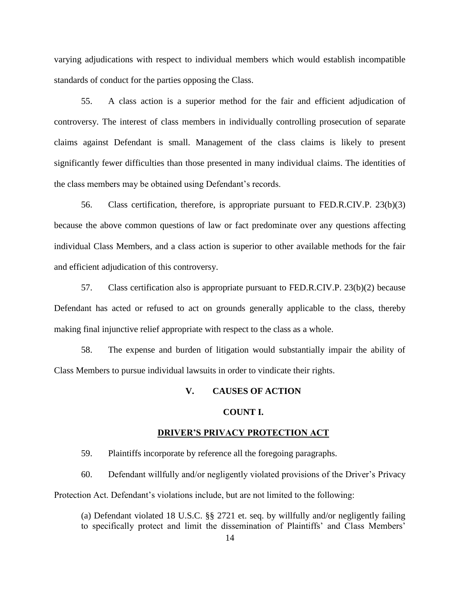varying adjudications with respect to individual members which would establish incompatible standards of conduct for the parties opposing the Class.

55. A class action is a superior method for the fair and efficient adjudication of controversy. The interest of class members in individually controlling prosecution of separate claims against Defendant is small. Management of the class claims is likely to present significantly fewer difficulties than those presented in many individual claims. The identities of the class members may be obtained using Defendant's records.

56. Class certification, therefore, is appropriate pursuant to FED.R.CIV.P. 23(b)(3) because the above common questions of law or fact predominate over any questions affecting individual Class Members, and a class action is superior to other available methods for the fair and efficient adjudication of this controversy.

57. Class certification also is appropriate pursuant to FED.R.CIV.P. 23(b)(2) because Defendant has acted or refused to act on grounds generally applicable to the class, thereby making final injunctive relief appropriate with respect to the class as a whole.

58. The expense and burden of litigation would substantially impair the ability of Class Members to pursue individual lawsuits in order to vindicate their rights.

## **V. CAUSES OF ACTION**

### **COUNT I.**

#### **DRIVER'S PRIVACY PROTECTION ACT**

59. Plaintiffs incorporate by reference all the foregoing paragraphs.

60. Defendant willfully and/or negligently violated provisions of the Driver's Privacy Protection Act. Defendant's violations include, but are not limited to the following:

(a) Defendant violated 18 U.S.C. §§ 2721 et. seq. by willfully and/or negligently failing to specifically protect and limit the dissemination of Plaintiffs' and Class Members'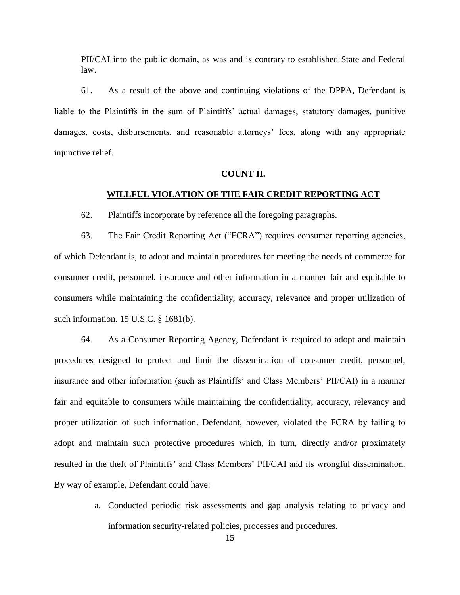PII/CAI into the public domain, as was and is contrary to established State and Federal law.

61. As a result of the above and continuing violations of the DPPA, Defendant is liable to the Plaintiffs in the sum of Plaintiffs' actual damages, statutory damages, punitive damages, costs, disbursements, and reasonable attorneys' fees, along with any appropriate injunctive relief.

## **COUNT II.**

# **WILLFUL VIOLATION OF THE FAIR CREDIT REPORTING ACT**

62. Plaintiffs incorporate by reference all the foregoing paragraphs.

63. The Fair Credit Reporting Act ("FCRA") requires consumer reporting agencies, of which Defendant is, to adopt and maintain procedures for meeting the needs of commerce for consumer credit, personnel, insurance and other information in a manner fair and equitable to consumers while maintaining the confidentiality, accuracy, relevance and proper utilization of such information. 15 U.S.C. § 1681(b).

64. As a Consumer Reporting Agency, Defendant is required to adopt and maintain procedures designed to protect and limit the dissemination of consumer credit, personnel, insurance and other information (such as Plaintiffs' and Class Members' PII/CAI) in a manner fair and equitable to consumers while maintaining the confidentiality, accuracy, relevancy and proper utilization of such information. Defendant, however, violated the FCRA by failing to adopt and maintain such protective procedures which, in turn, directly and/or proximately resulted in the theft of Plaintiffs' and Class Members' PII/CAI and its wrongful dissemination. By way of example, Defendant could have:

> a. Conducted periodic risk assessments and gap analysis relating to privacy and information security-related policies, processes and procedures.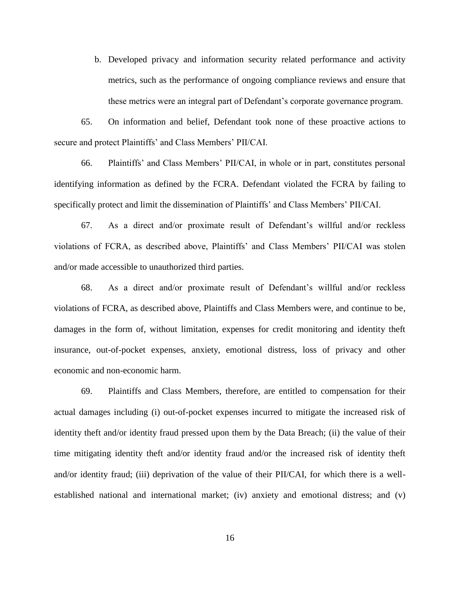b. Developed privacy and information security related performance and activity metrics, such as the performance of ongoing compliance reviews and ensure that these metrics were an integral part of Defendant's corporate governance program.

65. On information and belief, Defendant took none of these proactive actions to secure and protect Plaintiffs' and Class Members' PII/CAI.

66. Plaintiffs' and Class Members' PII/CAI, in whole or in part, constitutes personal identifying information as defined by the FCRA. Defendant violated the FCRA by failing to specifically protect and limit the dissemination of Plaintiffs' and Class Members' PII/CAI.

67. As a direct and/or proximate result of Defendant's willful and/or reckless violations of FCRA, as described above, Plaintiffs' and Class Members' PII/CAI was stolen and/or made accessible to unauthorized third parties.

68. As a direct and/or proximate result of Defendant's willful and/or reckless violations of FCRA, as described above, Plaintiffs and Class Members were, and continue to be, damages in the form of, without limitation, expenses for credit monitoring and identity theft insurance, out-of-pocket expenses, anxiety, emotional distress, loss of privacy and other economic and non-economic harm.

69. Plaintiffs and Class Members, therefore, are entitled to compensation for their actual damages including (i) out-of-pocket expenses incurred to mitigate the increased risk of identity theft and/or identity fraud pressed upon them by the Data Breach; (ii) the value of their time mitigating identity theft and/or identity fraud and/or the increased risk of identity theft and/or identity fraud; (iii) deprivation of the value of their PII/CAI, for which there is a wellestablished national and international market; (iv) anxiety and emotional distress; and (v)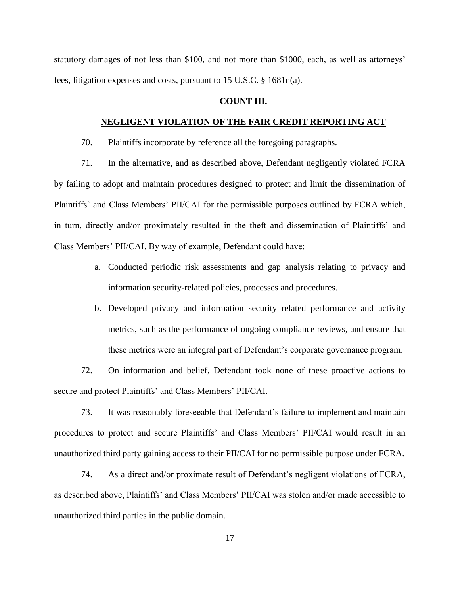statutory damages of not less than \$100, and not more than \$1000, each, as well as attorneys' fees, litigation expenses and costs, pursuant to 15 U.S.C. § 1681n(a).

## **COUNT III.**

### **NEGLIGENT VIOLATION OF THE FAIR CREDIT REPORTING ACT**

70. Plaintiffs incorporate by reference all the foregoing paragraphs.

71. In the alternative, and as described above, Defendant negligently violated FCRA by failing to adopt and maintain procedures designed to protect and limit the dissemination of Plaintiffs' and Class Members' PII/CAI for the permissible purposes outlined by FCRA which, in turn, directly and/or proximately resulted in the theft and dissemination of Plaintiffs' and Class Members' PII/CAI. By way of example, Defendant could have:

- a. Conducted periodic risk assessments and gap analysis relating to privacy and information security-related policies, processes and procedures.
- b. Developed privacy and information security related performance and activity metrics, such as the performance of ongoing compliance reviews, and ensure that these metrics were an integral part of Defendant's corporate governance program.

72. On information and belief, Defendant took none of these proactive actions to secure and protect Plaintiffs' and Class Members' PII/CAI.

73. It was reasonably foreseeable that Defendant's failure to implement and maintain procedures to protect and secure Plaintiffs' and Class Members' PII/CAI would result in an unauthorized third party gaining access to their PII/CAI for no permissible purpose under FCRA.

74. As a direct and/or proximate result of Defendant's negligent violations of FCRA, as described above, Plaintiffs' and Class Members' PII/CAI was stolen and/or made accessible to unauthorized third parties in the public domain.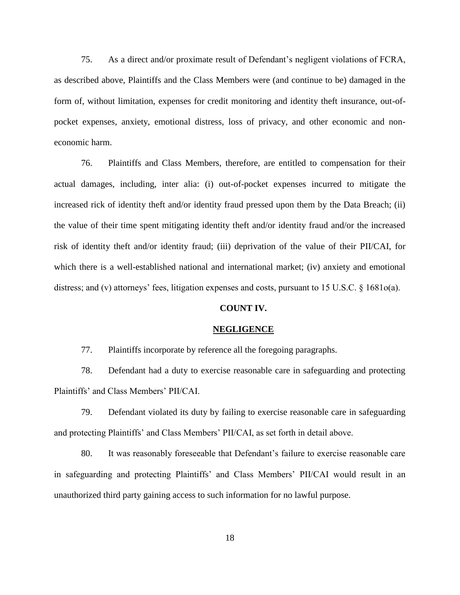75. As a direct and/or proximate result of Defendant's negligent violations of FCRA, as described above, Plaintiffs and the Class Members were (and continue to be) damaged in the form of, without limitation, expenses for credit monitoring and identity theft insurance, out-ofpocket expenses, anxiety, emotional distress, loss of privacy, and other economic and noneconomic harm.

76. Plaintiffs and Class Members, therefore, are entitled to compensation for their actual damages, including, inter alia: (i) out-of-pocket expenses incurred to mitigate the increased rick of identity theft and/or identity fraud pressed upon them by the Data Breach; (ii) the value of their time spent mitigating identity theft and/or identity fraud and/or the increased risk of identity theft and/or identity fraud; (iii) deprivation of the value of their PII/CAI, for which there is a well-established national and international market; (iv) anxiety and emotional distress; and (v) attorneys' fees, litigation expenses and costs, pursuant to 15 U.S.C. § 1681o(a).

#### **COUNT IV.**

#### **NEGLIGENCE**

77. Plaintiffs incorporate by reference all the foregoing paragraphs.

78. Defendant had a duty to exercise reasonable care in safeguarding and protecting Plaintiffs' and Class Members' PII/CAI.

79. Defendant violated its duty by failing to exercise reasonable care in safeguarding and protecting Plaintiffs' and Class Members' PII/CAI, as set forth in detail above.

80. It was reasonably foreseeable that Defendant's failure to exercise reasonable care in safeguarding and protecting Plaintiffs' and Class Members' PII/CAI would result in an unauthorized third party gaining access to such information for no lawful purpose.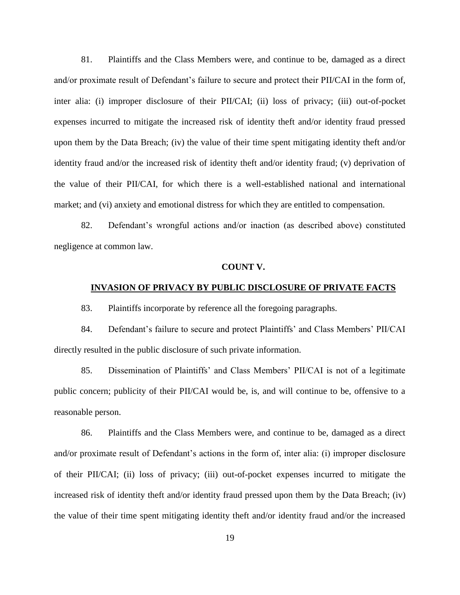81. Plaintiffs and the Class Members were, and continue to be, damaged as a direct and/or proximate result of Defendant's failure to secure and protect their PII/CAI in the form of, inter alia: (i) improper disclosure of their PII/CAI; (ii) loss of privacy; (iii) out-of-pocket expenses incurred to mitigate the increased risk of identity theft and/or identity fraud pressed upon them by the Data Breach; (iv) the value of their time spent mitigating identity theft and/or identity fraud and/or the increased risk of identity theft and/or identity fraud; (v) deprivation of the value of their PII/CAI, for which there is a well-established national and international market; and (vi) anxiety and emotional distress for which they are entitled to compensation.

82. Defendant's wrongful actions and/or inaction (as described above) constituted negligence at common law.

#### **COUNT V.**

# **INVASION OF PRIVACY BY PUBLIC DISCLOSURE OF PRIVATE FACTS**

83. Plaintiffs incorporate by reference all the foregoing paragraphs.

84. Defendant's failure to secure and protect Plaintiffs' and Class Members' PII/CAI directly resulted in the public disclosure of such private information.

85. Dissemination of Plaintiffs' and Class Members' PII/CAI is not of a legitimate public concern; publicity of their PII/CAI would be, is, and will continue to be, offensive to a reasonable person.

86. Plaintiffs and the Class Members were, and continue to be, damaged as a direct and/or proximate result of Defendant's actions in the form of, inter alia: (i) improper disclosure of their PII/CAI; (ii) loss of privacy; (iii) out-of-pocket expenses incurred to mitigate the increased risk of identity theft and/or identity fraud pressed upon them by the Data Breach; (iv) the value of their time spent mitigating identity theft and/or identity fraud and/or the increased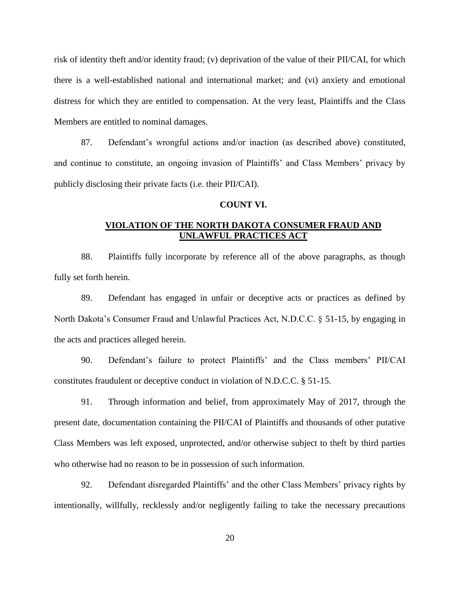risk of identity theft and/or identity fraud; (v) deprivation of the value of their PII/CAI, for which there is a well-established national and international market; and (vi) anxiety and emotional distress for which they are entitled to compensation. At the very least, Plaintiffs and the Class Members are entitled to nominal damages.

87. Defendant's wrongful actions and/or inaction (as described above) constituted, and continue to constitute, an ongoing invasion of Plaintiffs' and Class Members' privacy by publicly disclosing their private facts (i.e. their PII/CAI).

## **COUNT VI.**

# **VIOLATION OF THE NORTH DAKOTA CONSUMER FRAUD AND UNLAWFUL PRACTICES ACT**

88. Plaintiffs fully incorporate by reference all of the above paragraphs, as though fully set forth herein.

89. Defendant has engaged in unfair or deceptive acts or practices as defined by North Dakota's Consumer Fraud and Unlawful Practices Act, N.D.C.C. § 51-15, by engaging in the acts and practices alleged herein.

90. Defendant's failure to protect Plaintiffs' and the Class members' PII/CAI constitutes fraudulent or deceptive conduct in violation of N.D.C.C. § 51-15.

91. Through information and belief, from approximately May of 2017, through the present date, documentation containing the PII/CAI of Plaintiffs and thousands of other putative Class Members was left exposed, unprotected, and/or otherwise subject to theft by third parties who otherwise had no reason to be in possession of such information.

92. Defendant disregarded Plaintiffs' and the other Class Members' privacy rights by intentionally, willfully, recklessly and/or negligently failing to take the necessary precautions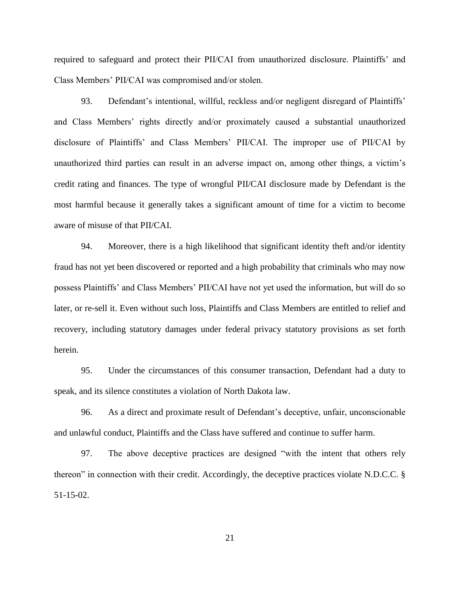required to safeguard and protect their PII/CAI from unauthorized disclosure. Plaintiffs' and Class Members' PII/CAI was compromised and/or stolen.

93. Defendant's intentional, willful, reckless and/or negligent disregard of Plaintiffs' and Class Members' rights directly and/or proximately caused a substantial unauthorized disclosure of Plaintiffs' and Class Members' PII/CAI. The improper use of PII/CAI by unauthorized third parties can result in an adverse impact on, among other things, a victim's credit rating and finances. The type of wrongful PII/CAI disclosure made by Defendant is the most harmful because it generally takes a significant amount of time for a victim to become aware of misuse of that PII/CAI.

94. Moreover, there is a high likelihood that significant identity theft and/or identity fraud has not yet been discovered or reported and a high probability that criminals who may now possess Plaintiffs' and Class Members' PII/CAI have not yet used the information, but will do so later, or re-sell it. Even without such loss, Plaintiffs and Class Members are entitled to relief and recovery, including statutory damages under federal privacy statutory provisions as set forth herein.

95. Under the circumstances of this consumer transaction, Defendant had a duty to speak, and its silence constitutes a violation of North Dakota law.

96. As a direct and proximate result of Defendant's deceptive, unfair, unconscionable and unlawful conduct, Plaintiffs and the Class have suffered and continue to suffer harm.

97. The above deceptive practices are designed "with the intent that others rely thereon" in connection with their credit. Accordingly, the deceptive practices violate N.D.C.C. § 51-15-02.

21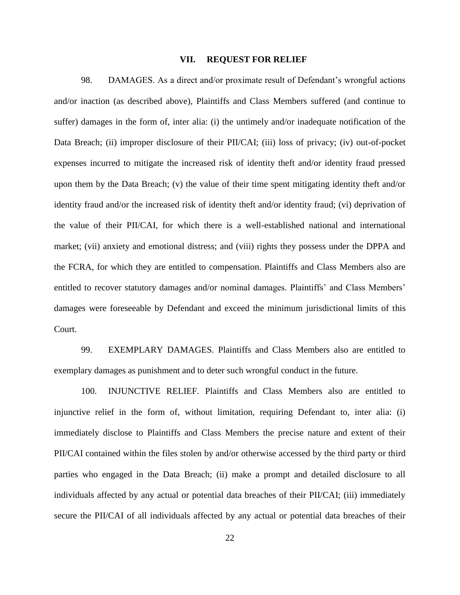#### **VII. REQUEST FOR RELIEF**

98. DAMAGES. As a direct and/or proximate result of Defendant's wrongful actions and/or inaction (as described above), Plaintiffs and Class Members suffered (and continue to suffer) damages in the form of, inter alia: (i) the untimely and/or inadequate notification of the Data Breach; (ii) improper disclosure of their PII/CAI; (iii) loss of privacy; (iv) out-of-pocket expenses incurred to mitigate the increased risk of identity theft and/or identity fraud pressed upon them by the Data Breach; (v) the value of their time spent mitigating identity theft and/or identity fraud and/or the increased risk of identity theft and/or identity fraud; (vi) deprivation of the value of their PII/CAI, for which there is a well-established national and international market; (vii) anxiety and emotional distress; and (viii) rights they possess under the DPPA and the FCRA, for which they are entitled to compensation. Plaintiffs and Class Members also are entitled to recover statutory damages and/or nominal damages. Plaintiffs' and Class Members' damages were foreseeable by Defendant and exceed the minimum jurisdictional limits of this Court.

99. EXEMPLARY DAMAGES. Plaintiffs and Class Members also are entitled to exemplary damages as punishment and to deter such wrongful conduct in the future.

100. INJUNCTIVE RELIEF. Plaintiffs and Class Members also are entitled to injunctive relief in the form of, without limitation, requiring Defendant to, inter alia: (i) immediately disclose to Plaintiffs and Class Members the precise nature and extent of their PII/CAI contained within the files stolen by and/or otherwise accessed by the third party or third parties who engaged in the Data Breach; (ii) make a prompt and detailed disclosure to all individuals affected by any actual or potential data breaches of their PII/CAI; (iii) immediately secure the PII/CAI of all individuals affected by any actual or potential data breaches of their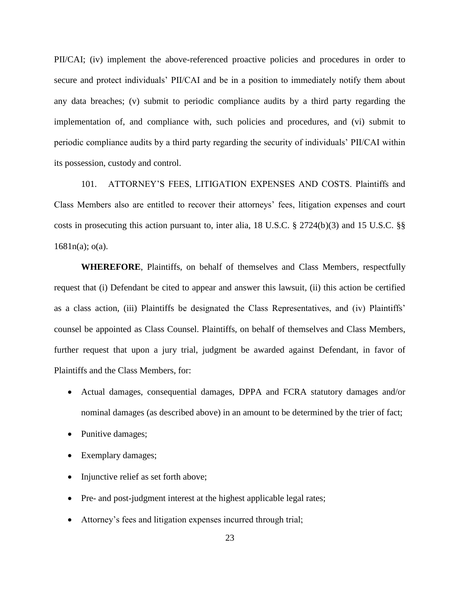PII/CAI; (iv) implement the above-referenced proactive policies and procedures in order to secure and protect individuals' PII/CAI and be in a position to immediately notify them about any data breaches; (v) submit to periodic compliance audits by a third party regarding the implementation of, and compliance with, such policies and procedures, and (vi) submit to periodic compliance audits by a third party regarding the security of individuals' PII/CAI within its possession, custody and control.

101. ATTORNEY'S FEES, LITIGATION EXPENSES AND COSTS. Plaintiffs and Class Members also are entitled to recover their attorneys' fees, litigation expenses and court costs in prosecuting this action pursuant to, inter alia, 18 U.S.C. § 2724(b)(3) and 15 U.S.C. §§ 1681n(a); o(a).

**WHEREFORE**, Plaintiffs, on behalf of themselves and Class Members, respectfully request that (i) Defendant be cited to appear and answer this lawsuit, (ii) this action be certified as a class action, (iii) Plaintiffs be designated the Class Representatives, and (iv) Plaintiffs' counsel be appointed as Class Counsel. Plaintiffs, on behalf of themselves and Class Members, further request that upon a jury trial, judgment be awarded against Defendant, in favor of Plaintiffs and the Class Members, for:

- Actual damages, consequential damages, DPPA and FCRA statutory damages and/or nominal damages (as described above) in an amount to be determined by the trier of fact;
- Punitive damages;
- Exemplary damages;
- Injunctive relief as set forth above;
- Pre- and post-judgment interest at the highest applicable legal rates;
- Attorney's fees and litigation expenses incurred through trial;